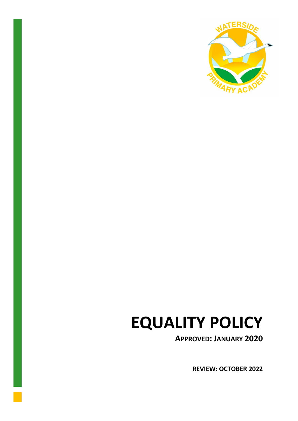

# **EQUALITY POLICY**

**APPROVED: JANUARY 2020**

**REVIEW: OCTOBER 2022**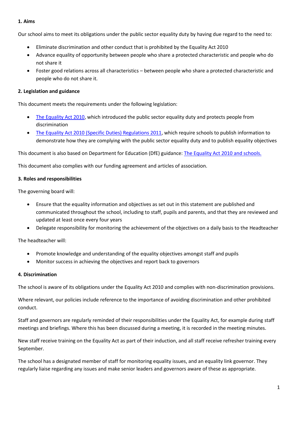#### **1. Aims**

Our school aims to meet its obligations under the public sector equality duty by having due regard to the need to:

- Eliminate discrimination and other conduct that is prohibited by the Equality Act 2010
- Advance equality of opportunity between people who share a protected characteristic and people who do not share it
- Foster good relations across all characteristics between people who share a protected characteristic and people who do not share it.

## **2. Legislation and guidance**

This document meets the requirements under the following legislation:

- [The Equality Act 2010,](http://www.legislation.gov.uk/ukpga/2010/15/contents) which introduced the public sector equality duty and protects people from discrimination
- [The Equality Act 2010 \(Specific Duties\) Regulations 2011,](http://www.legislation.gov.uk/uksi/2011/2260/contents/made) which require schools to publish information to demonstrate how they are complying with the public sector equality duty and to publish equality objectives

This document is also based on Department for Education (DfE) guidance: [The Equality Act 2010 and schools.](https://www.gov.uk/government/uploads/system/uploads/attachment_data/file/315587/Equality_Act_Advice_Final.pdf) 

This document also complies with our funding agreement and articles of association.

#### **3. Roles and responsibilities**

The governing board will:

- Ensure that the equality information and objectives as set out in this statement are published and communicated throughout the school, including to staff, pupils and parents, and that they are reviewed and updated at least once every four years
- Delegate responsibility for monitoring the achievement of the objectives on a daily basis to the Headteacher

The headteacher will:

- Promote knowledge and understanding of the equality objectives amongst staff and pupils
- Monitor success in achieving the objectives and report back to governors

#### **4. Discrimination**

The school is aware of its obligations under the Equality Act 2010 and complies with non-discrimination provisions.

Where relevant, our policies include reference to the importance of avoiding discrimination and other prohibited conduct.

Staff and governors are regularly reminded of their responsibilities under the Equality Act, for example during staff meetings and briefings. Where this has been discussed during a meeting, it is recorded in the meeting minutes.

New staff receive training on the Equality Act as part of their induction, and all staff receive refresher training every September.

The school has a designated member of staff for monitoring equality issues, and an equality link governor. They regularly liaise regarding any issues and make senior leaders and governors aware of these as appropriate.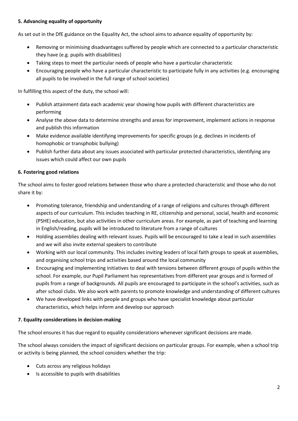## **5. Advancing equality of opportunity**

As set out in the DfE guidance on the Equality Act, the school aims to advance equality of opportunity by:

- Removing or minimising disadvantages suffered by people which are connected to a particular characteristic they have (e.g. pupils with disabilities)
- Taking steps to meet the particular needs of people who have a particular characteristic
- Encouraging people who have a particular characteristic to participate fully in any activities (e.g. encouraging all pupils to be involved in the full range of school societies)

In fulfilling this aspect of the duty, the school will:

- Publish attainment data each academic year showing how pupils with different characteristics are performing
- Analyse the above data to determine strengths and areas for improvement, implement actions in response and publish this information
- Make evidence available identifying improvements for specific groups (e.g. declines in incidents of homophobic or transphobic bullying)
- Publish further data about any issues associated with particular protected characteristics, identifying any issues which could affect our own pupils

## **6. Fostering good relations**

The school aims to foster good relations between those who share a protected characteristic and those who do not share it by:

- Promoting tolerance, friendship and understanding of a range of religions and cultures through different aspects of our curriculum. This includes teaching in RE, citizenship and personal, social, health and economic (PSHE) education, but also activities in other curriculum areas. For example, as part of teaching and learning in English/reading, pupils will be introduced to literature from a range of cultures
- Holding assemblies dealing with relevant issues. Pupils will be encouraged to take a lead in such assemblies and we will also invite external speakers to contribute
- Working with our local community. This includes inviting leaders of local faith groups to speak at assemblies, and organising school trips and activities based around the local community
- Encouraging and implementing initiatives to deal with tensions between different groups of pupils within the school. For example, our Pupil Parliament has representatives from different year groups and is formed of pupils from a range of backgrounds. All pupils are encouraged to participate in the school's activities, such as after school clubs. We also work with parents to promote knowledge and understanding of different cultures
- We have developed links with people and groups who have specialist knowledge about particular characteristics, which helps inform and develop our approach

#### **7. Equality considerations in decision-making**

The school ensures it has due regard to equality considerations whenever significant decisions are made.

The school always considers the impact of significant decisions on particular groups. For example, when a school trip or activity is being planned, the school considers whether the trip:

- Cuts across any religious holidays
- Is accessible to pupils with disabilities